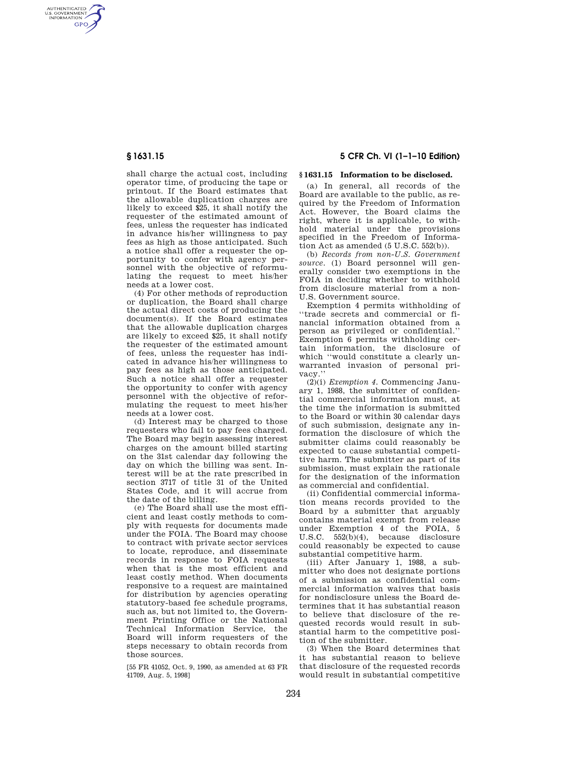AUTHENTICATED<br>U.S. GOVERNMENT<br>INFORMATION **GPO** 

> shall charge the actual cost, including operator time, of producing the tape or printout. If the Board estimates that the allowable duplication charges are likely to exceed \$25, it shall notify the requester of the estimated amount of fees, unless the requester has indicated in advance his/her willingness to pay fees as high as those anticipated. Such a notice shall offer a requester the opportunity to confer with agency personnel with the objective of reformulating the request to meet his/her needs at a lower cost.

> (4) For other methods of reproduction or duplication, the Board shall charge the actual direct costs of producing the document(s). If the Board estimates that the allowable duplication charges are likely to exceed \$25, it shall notify the requester of the estimated amount of fees, unless the requester has indicated in advance his/her willingness to pay fees as high as those anticipated. Such a notice shall offer a requester the opportunity to confer with agency personnel with the objective of reformulating the request to meet his/her needs at a lower cost.

> (d) Interest may be charged to those requesters who fail to pay fees charged. The Board may begin assessing interest charges on the amount billed starting on the 31st calendar day following the day on which the billing was sent. Interest will be at the rate prescribed in section 3717 of title 31 of the United States Code, and it will accrue from the date of the billing.

> (e) The Board shall use the most efficient and least costly methods to comply with requests for documents made under the FOIA. The Board may choose to contract with private sector services to locate, reproduce, and disseminate records in response to FOIA requests when that is the most efficient and least costly method. When documents responsive to a request are maintained for distribution by agencies operating statutory-based fee schedule programs, such as, but not limited to, the Government Printing Office or the National Technical Information Service, the Board will inform requesters of the steps necessary to obtain records from those sources.

[55 FR 41052, Oct. 9, 1990, as amended at 63 FR 41709, Aug. 5, 1998]

## **§ 1631.15 5 CFR Ch. VI (1–1–10 Edition)**

## **§ 1631.15 Information to be disclosed.**

(a) In general, all records of the Board are available to the public, as required by the Freedom of Information Act. However, the Board claims the right, where it is applicable, to withhold material under the provisions specified in the Freedom of Information Act as amended (5 U.S.C. 552(b)).

(b) *Records from non-U.S. Government source.* (1) Board personnel will generally consider two exemptions in the FOIA in deciding whether to withhold from disclosure material from a non-U.S. Government source.

Exemption 4 permits withholding of ''trade secrets and commercial or financial information obtained from a person as privileged or confidential.'' Exemption 6 permits withholding certain information, the disclosure of which ''would constitute a clearly unwarranted invasion of personal privacy.''

(2)(i) *Exemption 4.* Commencing January 1, 1988, the submitter of confidential commercial information must, at the time the information is submitted to the Board or within 30 calendar days of such submission, designate any information the disclosure of which the submitter claims could reasonably be expected to cause substantial competitive harm. The submitter as part of its submission, must explain the rationale for the designation of the information as commercial and confidential.

(ii) Confidential commercial information means records provided to the Board by a submitter that arguably contains material exempt from release under Exemption 4 of the FOIA, 5 U.S.C. 552(b)(4), because disclosure could reasonably be expected to cause substantial competitive harm.

(iii) After January 1, 1988, a submitter who does not designate portions of a submission as confidential commercial information waives that basis for nondisclosure unless the Board determines that it has substantial reason to believe that disclosure of the requested records would result in substantial harm to the competitive position of the submitter.

(3) When the Board determines that it has substantial reason to believe that disclosure of the requested records would result in substantial competitive